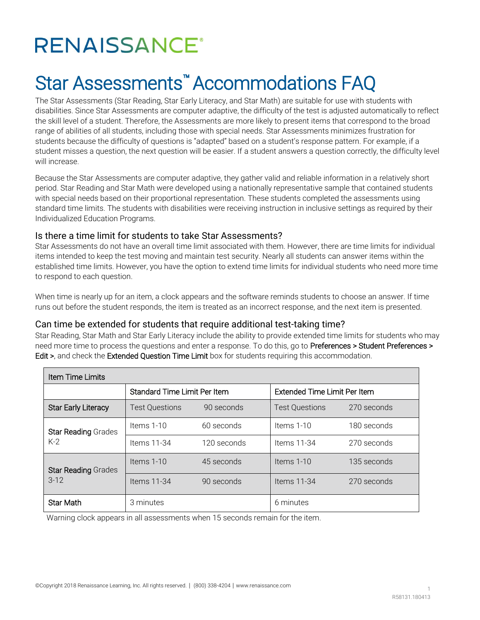# **RENAISSANCE®**

# Star Assessments™ Accommodations FAQ

The Star Assessments (Star Reading, Star Early Literacy, and Star Math) are suitable for use with students with disabilities. Since Star Assessments are computer adaptive, the difficulty of the test is adjusted automatically to reflect the skill level of a student. Therefore, the Assessments are more likely to present items that correspond to the broad range of abilities of all students, including those with special needs. Star Assessments minimizes frustration for students because the difficulty of questions is "adapted" based on a student's response pattern. For example, if a student misses a question, the next question will be easier. If a student answers a question correctly, the difficulty level will increase.

Because the Star Assessments are computer adaptive, they gather valid and reliable information in a relatively short period. Star Reading and Star Math were developed using a nationally representative sample that contained students with special needs based on their proportional representation. These students completed the assessments using standard time limits. The students with disabilities were receiving instruction in inclusive settings as required by their Individualized Education Programs.

#### Is there a time limit for students to take Star Assessments?

Star Assessments do not have an overall time limit associated with them. However, there are time limits for individual items intended to keep the test moving and maintain test security. Nearly all students can answer items within the established time limits. However, you have the option to extend time limits for individual students who need more time to respond to each question.

When time is nearly up for an item, a clock appears and the software reminds students to choose an answer. If time runs out before the student responds, the item is treated as an incorrect response, and the next item is presented.

#### Can time be extended for students that require additional test-taking time?

Star Reading, Star Math and Star Early Literacy include the ability to provide extended time limits for students who may need more time to process the questions and enter a response. To do this, go to Preferences > Student Preferences > Edit >, and check the Extended Question Time Limit box for students requiring this accommodation.

| Item Time Limits                     |                                     |             |                              |             |
|--------------------------------------|-------------------------------------|-------------|------------------------------|-------------|
|                                      | <b>Standard Time Limit Per Item</b> |             | Extended Time Limit Per Item |             |
| <b>Star Early Literacy</b>           | <b>Test Questions</b>               | 90 seconds  | <b>Test Questions</b>        | 270 seconds |
| <b>Star Reading Grades</b><br>$K-2$  | Items $1-10$                        | 60 seconds  | Items 1-10                   | 180 seconds |
|                                      | Items 11-34                         | 120 seconds | Items 11-34                  | 270 seconds |
| <b>Star Reading Grades</b><br>$3-12$ | Items 1-10                          | 45 seconds  | Items 1-10                   | 135 seconds |
|                                      | Items 11-34                         | 90 seconds  | Items $11-34$                | 270 seconds |
| <b>Star Math</b>                     | 3 minutes                           |             | 6 minutes                    |             |

Warning clock appears in all assessments when 15 seconds remain for the item.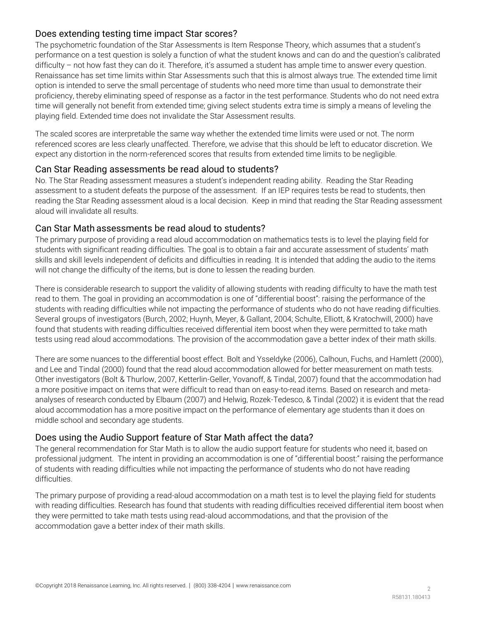# Does extending testing time impact Star scores?

The psychometric foundation of the Star Assessments is Item Response Theory, which assumes that a student's performance on a test question is solely a function of what the student knows and can do and the question's calibrated difficulty – not how fast they can do it. Therefore, it's assumed a student has ample time to answer every question. Renaissance has set time limits within Star Assessments such that this is almost always true. The extended time limit option is intended to serve the small percentage of students who need more time than usual to demonstrate their proficiency, thereby eliminating speed of response as a factor in the test performance. Students who do not need extra time will generally not benefit from extended time; giving select students extra time is simply a means of leveling the playing field. Extended time does not invalidate the Star Assessment results.

The scaled scores are interpretable the same way whether the extended time limits were used or not. The norm referenced scores are less clearly unaffected. Therefore, we advise that this should be left to educator discretion. We expect any distortion in the norm-referenced scores that results from extended time limits to be negligible.

#### Can Star Reading assessments be read aloud to students?

No. The Star Reading assessment measures a student's independent reading ability. Reading the Star Reading assessment to a student defeats the purpose of the assessment. If an IEP requires tests be read to students, then reading the Star Reading assessment aloud is a local decision. Keep in mind that reading the Star Reading assessment aloud will invalidate all results.

#### Can Star Math assessments be read aloud to students?

The primary purpose of providing a read aloud accommodation on mathematics tests is to level the playing field for students with significant reading difficulties. The goal is to obtain a fair and accurate assessment of students' math skills and skill levels independent of deficits and difficulties in reading. It is intended that adding the audio to the items will not change the difficulty of the items, but is done to lessen the reading burden.

There is considerable research to support the validity of allowing students with reading difficulty to have the math test read to them. The goal in providing an accommodation is one of "differential boost": raising the performance of the students with reading difficulties while not impacting the performance of students who do not have reading difficulties. Several groups of investigators (Burch, 2002; Huynh, Meyer, & Gallant, 2004; Schulte, Elliott, & Kratochwill, 2000) have found that students with reading difficulties received differential item boost when they were permitted to take math tests using read aloud accommodations. The provision of the accommodation gave a better index of their math skills.

There are some nuances to the differential boost effect. Bolt and Ysseldyke (2006), Calhoun, Fuchs, and Hamlett (2000), and Lee and Tindal (2000) found that the read aloud accommodation allowed for better measurement on math tests. Other investigators (Bolt & Thurlow, 2007, Ketterlin-Geller, Yovanoff, & Tindal, 2007) found that the accommodation had a more positive impact on items that were difficult to read than on easy-to-read items. Based on research and metaanalyses of research conducted by Elbaum (2007) and Helwig, Rozek-Tedesco, & Tindal (2002) it is evident that the read aloud accommodation has a more positive impact on the performance of elementary age students than it does on middle school and secondary age students.

#### Does using the Audio Support feature of Star Math affect the data?

The general recommendation for Star Math is to allow the audio support feature for students who need it, based on professional judgment. The intent in providing an accommodation is one of "differential boost:" raising the performance of students with reading difficulties while not impacting the performance of students who do not have reading difficulties.

The primary purpose of providing a read-aloud accommodation on a math test is to level the playing field for students with reading difficulties. Research has found that students with reading difficulties received differential item boost when they were permitted to take math tests using read-aloud accommodations, and that the provision of the accommodation gave a better index of their math skills.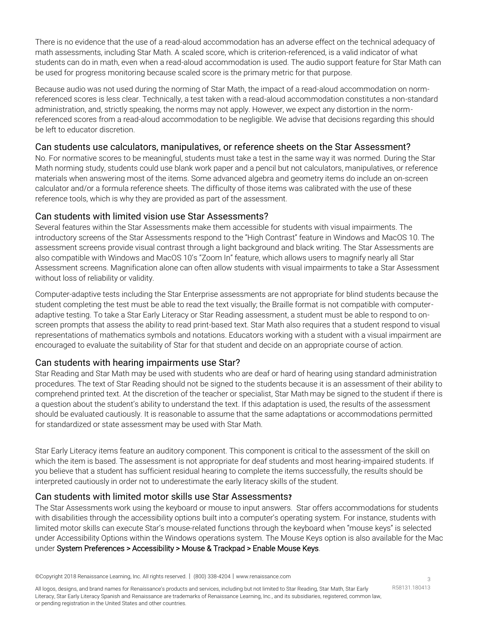There is no evidence that the use of a read-aloud accommodation has an adverse effect on the technical adequacy of math assessments, including Star Math. A scaled score, which is criterion-referenced, is a valid indicator of what students can do in math, even when a read-aloud accommodation is used. The audio support feature for Star Math can be used for progress monitoring because scaled score is the primary metric for that purpose.

Because audio was not used during the norming of Star Math, the impact of a read-aloud accommodation on normreferenced scores is less clear. Technically, a test taken with a read-aloud accommodation constitutes a non-standard administration, and, strictly speaking, the norms may not apply. However, we expect any distortion in the normreferenced scores from a read-aloud accommodation to be negligible. We advise that decisions regarding this should be left to educator discretion.

#### Can students use calculators, manipulatives, or reference sheets on the Star Assessment?

No. For normative scores to be meaningful, students must take a test in the same way it was normed. During the Star Math norming study, students could use blank work paper and a pencil but not calculators, manipulatives, or reference materials when answering most of the items. Some advanced algebra and geometry items do include an on-screen calculator and/or a formula reference sheets. The difficulty of those items was calibrated with the use of these reference tools, which is why they are provided as part of the assessment.

# Can students with limited vision use Star Assessments?

Several features within the Star Assessments make them accessible for students with visual impairments. The introductory screens of the Star Assessments respond to the "High Contrast" feature in Windows and MacOS 10. The assessment screens provide visual contrast through a light background and black writing. The Star Assessments are also compatible with Windows and MacOS 10's "Zoom In" feature, which allows users to magnify nearly all Star Assessment screens. Magnification alone can often allow students with visual impairments to take a Star Assessment without loss of reliability or validity.

Computer-adaptive tests including the Star Enterprise assessments are not appropriate for blind students because the student completing the test must be able to read the text visually; the Braille format is not compatible with computeradaptive testing. To take a Star Early Literacy or Star Reading assessment, a student must be able to respond to onscreen prompts that assess the ability to read print-based text. Star Math also requires that a student respond to visual representations of mathematics symbols and notations. Educators working with a student with a visual impairment are encouraged to evaluate the suitability of Star for that student and decide on an appropriate course of action.

#### Can students with hearing impairments use Star?

Star Reading and Star Math may be used with students who are deaf or hard of hearing using standard administration procedures. The text of Star Reading should not be signed to the students because it is an assessment of their ability to comprehend printed text. At the discretion of the teacher or specialist, Star Math may be signed to the student if there is a question about the student's ability to understand the text. If this adaptation is used, the results of the assessment should be evaluated cautiously. It is reasonable to assume that the same adaptations or accommodations permitted for standardized or state assessment may be used with Star Math.

Star Early Literacy items feature an auditory component. This component is critical to the assessment of the skill on which the item is based. The assessment is not appropriate for deaf students and most hearing-impaired students. If you believe that a student has sufficient residual hearing to complete the items successfully, the results should be interpreted cautiously in order not to underestimate the early literacy skills of the student.

# Can students with limited motor skills use Star Assessments**?**

The Star Assessments work using the keyboard or mouse to input answers. Star offers accommodations for students with disabilities through the accessibility options built into a computer's operating system. For instance, students with limited motor skills can execute Star's mouse-related functions through the keyboard when "mouse keys" is selected under Accessibility Options within the Windows operations system. The Mouse Keys option is also available for the Mac under System Preferences > Accessibility > Mouse & Trackpad > Enable Mouse Keys.